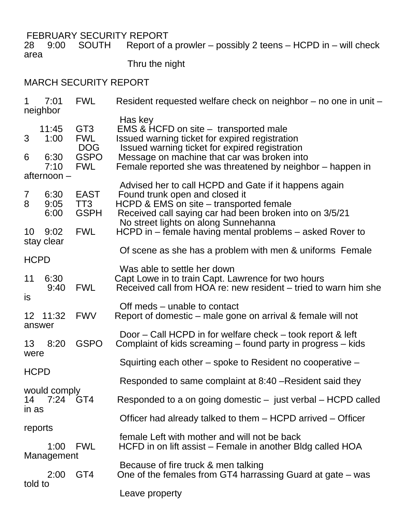FEBRUARY SECURITY REPORT<br>28 9:00 SOUTH Report of a  $R$  8:00 SOUTH  $\alpha$  9:00 SOUTH POSSIBLY 2 teens – HCPD in – will check area

Thru the night

## MARCH SECURITY REPORT

| 1                                                  | 7:01<br>neighbor     | <b>FWL</b>                                  | Resident requested welfare check on neighbor – no one in unit –                                                                                                                                                                       |  |
|----------------------------------------------------|----------------------|---------------------------------------------|---------------------------------------------------------------------------------------------------------------------------------------------------------------------------------------------------------------------------------------|--|
| 3                                                  | 11:45<br>1:00        | GT <sub>3</sub><br><b>FWL</b><br><b>DOG</b> | Has key<br>EMS & HCFD on site – transported male<br>Issued warning ticket for expired registration<br>Issued warning ticket for expired registration                                                                                  |  |
| 6                                                  | 6:30<br>7:10         | <b>GSPO</b><br><b>FWL</b>                   | Message on machine that car was broken into<br>Female reported she was threatened by neighbor – happen in                                                                                                                             |  |
| afternoon –                                        |                      |                                             |                                                                                                                                                                                                                                       |  |
| $\overline{7}$<br>8                                | 6:30<br>9:05<br>6:00 | <b>EAST</b><br>TT3<br><b>GSPH</b>           | Advised her to call HCPD and Gate if it happens again<br>Found trunk open and closed it<br>HCPD & EMS on site – transported female<br>Received call saying car had been broken into on 3/5/21<br>No street lights on along Sunnehanna |  |
| 10                                                 | 9:02<br>stay clear   | <b>FWL</b>                                  | HCPD in – female having mental problems – asked Rover to                                                                                                                                                                              |  |
|                                                    |                      |                                             | Of scene as she has a problem with men & uniforms Female                                                                                                                                                                              |  |
| <b>HCPD</b>                                        |                      |                                             | Was able to settle her down                                                                                                                                                                                                           |  |
| 11<br><b>is</b>                                    | 6:30<br>9:40         | <b>FWL</b>                                  | Capt Lowe in to train Capt. Lawrence for two hours<br>Received call from HOA re: new resident – tried to warn him she                                                                                                                 |  |
| answer                                             | 12 11:32             | <b>FWV</b>                                  | Off meds – unable to contact<br>Report of domestic – male gone on arrival & female will not                                                                                                                                           |  |
| 13<br>were                                         | 8:20                 | <b>GSPO</b>                                 | Door – Call HCPD in for welfare check – took report & left<br>Complaint of kids screaming – found party in progress – kids                                                                                                            |  |
| <b>HCPD</b>                                        |                      |                                             | Squirting each other – spoke to Resident no cooperative –                                                                                                                                                                             |  |
|                                                    |                      |                                             | Responded to same complaint at 8:40 – Resident said they                                                                                                                                                                              |  |
| would comply<br>14<br>7:24 GT4<br>in as<br>reports |                      |                                             | Responded to a on going domestic – just verbal – HCPD called                                                                                                                                                                          |  |
|                                                    |                      |                                             | Officer had already talked to them – HCPD arrived – Officer                                                                                                                                                                           |  |
|                                                    | 1:00                 | <b>FWL</b>                                  | female Left with mother and will not be back<br>HCFD in on lift assist – Female in another Bldg called HOA                                                                                                                            |  |
|                                                    | Management<br>2:00   | GT4                                         | Because of fire truck & men talking<br>One of the females from GT4 harrassing Guard at gate – was                                                                                                                                     |  |
| told to                                            |                      |                                             | Leave property                                                                                                                                                                                                                        |  |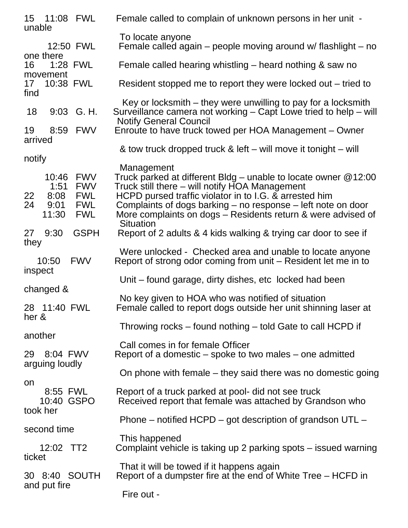| 15  11:08  FWL<br>unable                                                                                                 | Female called to complain of unknown persons in her unit -                                                                                                                                                                                                                                                                                     |
|--------------------------------------------------------------------------------------------------------------------------|------------------------------------------------------------------------------------------------------------------------------------------------------------------------------------------------------------------------------------------------------------------------------------------------------------------------------------------------|
| 12:50 FWL                                                                                                                | To locate anyone<br>Female called again – people moving around w/ flashlight – no                                                                                                                                                                                                                                                              |
| one there<br>1:28 FWL<br>16                                                                                              | Female called hearing whistling – heard nothing & saw no                                                                                                                                                                                                                                                                                       |
| movement<br>17<br>10:38 FWL<br>find                                                                                      | Resident stopped me to report they were locked out – tried to                                                                                                                                                                                                                                                                                  |
| 18<br>9:03 G. H.                                                                                                         | Key or locksmith – they were unwilling to pay for a locksmith<br>Surveillance camera not working – Capt Lowe tried to help – will<br><b>Notify General Council</b>                                                                                                                                                                             |
| 8:59<br><b>FWV</b><br>19<br>arrived                                                                                      | Enroute to have truck towed per HOA Management - Owner                                                                                                                                                                                                                                                                                         |
| notify                                                                                                                   | & tow truck dropped truck & left – will move it tonight – will                                                                                                                                                                                                                                                                                 |
| 10:46<br><b>FWV</b><br>1:51<br><b>FWV</b><br><b>FWL</b><br>22<br>8:08<br>9:01<br><b>FWL</b><br>24<br>11:30<br><b>FWL</b> | Management<br>Truck parked at different Bldg – unable to locate owner $@12:00$<br>Truck still there – will notify HOA Management<br>HCPD pursed traffic violator in to I.G. & arrested him<br>Complaints of dogs barking – no response – left note on door<br>More complaints on dogs – Residents return & were advised of<br><b>Situation</b> |
| <b>GSPH</b><br>9:30<br>27<br>they                                                                                        | Report of 2 adults & 4 kids walking & trying car door to see if                                                                                                                                                                                                                                                                                |
| <b>FWV</b><br>10:50<br>inspect                                                                                           | Were unlocked - Checked area and unable to locate anyone<br>Report of strong odor coming from unit – Resident let me in to                                                                                                                                                                                                                     |
| changed &                                                                                                                | Unit – found garage, dirty dishes, etc locked had been                                                                                                                                                                                                                                                                                         |
| 28 11:40 FWL<br>her &                                                                                                    | No key given to HOA who was notified of situation<br>Female called to report dogs outside her unit shinning laser at                                                                                                                                                                                                                           |
| another                                                                                                                  | Throwing rocks – found nothing – told Gate to call HCPD if                                                                                                                                                                                                                                                                                     |
| 8:04 FWV<br>29                                                                                                           | Call comes in for female Officer<br>Report of a domestic – spoke to two males – one admitted                                                                                                                                                                                                                                                   |
| arguing loudly                                                                                                           | On phone with female – they said there was no domestic going                                                                                                                                                                                                                                                                                   |
| on<br>8:55 FWL<br>10:40 GSPO<br>took her                                                                                 | Report of a truck parked at pool- did not see truck<br>Received report that female was attached by Grandson who                                                                                                                                                                                                                                |
| second time                                                                                                              | Phone – notified HCPD – got description of grandson UTL –                                                                                                                                                                                                                                                                                      |
| 12:02 TT2<br>ticket                                                                                                      | This happened<br>Complaint vehicle is taking up 2 parking spots – issued warning                                                                                                                                                                                                                                                               |
| 30 8:40 SOUTH                                                                                                            | That it will be towed if it happens again<br>Report of a dumpster fire at the end of White Tree – HCFD in                                                                                                                                                                                                                                      |
| and put fire                                                                                                             | Fire out -                                                                                                                                                                                                                                                                                                                                     |